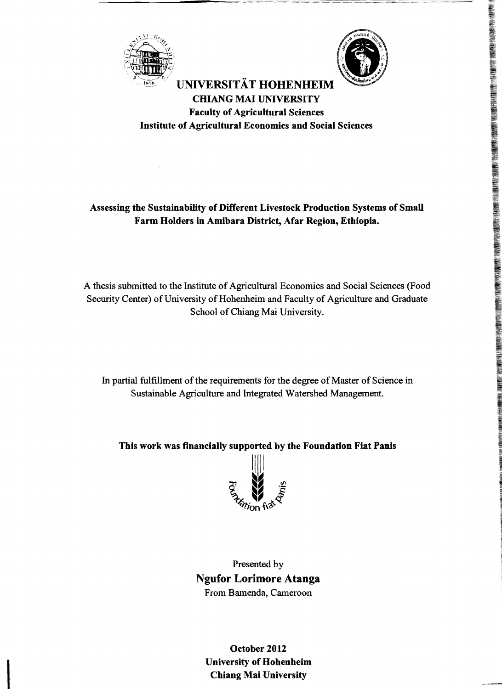



## **UNIVERSITÄT HOHENHEIM CHIANG MAI UNIVERSITY Faculty of Agricultural Sciences Institute of Agricultural Economies and Social Sciences**

## **Assessing the Sustainability of Different Livestock Production Systems of Small Farm Holders in Amibara Distriet, Afar Region, Ethiopia.**

A thesis submitted to the Institute of Agricultural Economics and Social Sciences (Food Security Center) of University of Hohenheim and Faculty of Agriculture and Graduate School of Chiang Mai University.

In partial fulfillment of the requirements for the degree of Master of Science in Sustainable Agriculture and Integrated Watershed Management.

**This work was fmancially supported by the Foundation Fiat Panis** 



Presented by **Ngufor Lorimore Atanga**  From Bamenda, Cameroon

**October 2012 University of Hohenheim Chiang Mai University**